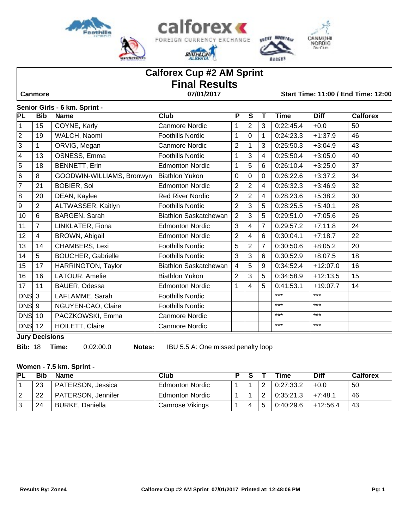





**SECSY MADRING** 

**BACERS** 

# **Calforex Cup #2 AM Sprint Final Results**

 **Canmore 07/01/2017 Start Time: 11:00 / End Time: 12:00**

#### **Senior Girls - 6 km. Sprint -**

| PL             | <b>Bib</b>     | <b>Name</b>               | Club                         | $\overline{\mathsf{P}}$ | $\overline{s}$ | Т | <b>Time</b> | <b>Diff</b> | <b>Calforex</b> |
|----------------|----------------|---------------------------|------------------------------|-------------------------|----------------|---|-------------|-------------|-----------------|
| $\mathbf{1}$   | 15             | COYNE, Karly              | <b>Canmore Nordic</b>        | 1                       | $\overline{2}$ | 3 | 0:22:45.4   | $+0.0$      | 50              |
| $ 2\rangle$    | 19             | WALCH, Naomi              | Foothills Nordic             | 1                       | $\mathbf 0$    | 1 | 0:24:23.3   | $+1:37.9$   | 46              |
| $\overline{3}$ | 1              | ORVIG, Megan              | <b>Canmore Nordic</b>        | $\overline{2}$          | 1              | 3 | 0:25:50.3   | $+3:04.9$   | 43              |
| 4              | 13             | OSNESS, Emma              | <b>Foothills Nordic</b>      | 1                       | 3              | 4 | 0:25:50.4   | $+3:05.0$   | 40              |
| $\overline{5}$ | 18             | BENNETT, Erin             | <b>Edmonton Nordic</b>       | 1                       | 5              | 6 | 0:26:10.4   | $+3:25.0$   | 37              |
| $\overline{6}$ | 8              | GOODWIN-WILLIAMS, Bronwyn | <b>Biathlon Yukon</b>        | $\mathbf 0$             | $\overline{0}$ | 0 | 0:26:22.6   | $+3:37.2$   | 34              |
| $\overline{7}$ | 21             | <b>BOBIER, Sol</b>        | <b>Edmonton Nordic</b>       | $\overline{2}$          | $\overline{2}$ | 4 | 0:26:32.3   | $+3:46.9$   | 32              |
| 8              | 20             | DEAN, Kaylee              | <b>Red River Nordic</b>      | $\overline{2}$          | 2              | 4 | 0:28:23.6   | $+5:38.2$   | 30              |
| 9              | $\overline{2}$ | ALTWASSER, Kaitlyn        | <b>Foothills Nordic</b>      | $\overline{2}$          | 3              | 5 | 0:28:25.5   | $+5:40.1$   | 28              |
| 10             | 6              | BARGEN, Sarah             | <b>Biathlon Saskatchewan</b> | $\overline{2}$          | 3              | 5 | 0:29:51.0   | $+7:05.6$   | 26              |
| 11             | $\overline{7}$ | LINKLATER, Fiona          | <b>Edmonton Nordic</b>       | 3                       | 4              | 7 | 0:29:57.2   | $+7:11.8$   | 24              |
| 12             | $\overline{4}$ | BROWN, Abigail            | <b>Edmonton Nordic</b>       | $\overline{2}$          | 4              | 6 | 0:30:04.1   | $+7:18.7$   | 22              |
| 13             | 14             | CHAMBERS, Lexi            | <b>Foothills Nordic</b>      | 5                       | $\overline{2}$ | 7 | 0:30:50.6   | $+8:05.2$   | 20              |
| 14             | 5              | <b>BOUCHER, Gabrielle</b> | <b>Foothills Nordic</b>      | $\mathbf{3}$            | 3              | 6 | 0:30:52.9   | $+8:07.5$   | 18              |
| 15             | 17             | HARRINGTON, Taylor        | Biathlon Saskatchewan        | $\overline{4}$          | 5              | 9 | 0:34:52.4   | $+12:07.0$  | 16              |
| 16             | 16             | LATOUR, Amelie            | <b>Biathlon Yukon</b>        | $\overline{2}$          | 3              | 5 | 0:34:58.9   | $+12:13.5$  | 15              |
| 17             | 11             | BAUER, Odessa             | <b>Edmonton Nordic</b>       | 1                       | 4              | 5 | 0:41:53.1   | $+19:07.7$  | 14              |
| $ DNS $ 3      |                | LAFLAMME, Sarah           | <b>Foothills Nordic</b>      |                         |                |   | $***$       | $***$       |                 |
| <b>DNS</b>     | 9              | NGUYEN-CAO, Claire        | <b>Foothills Nordic</b>      |                         |                |   | $***$       | $***$       |                 |
| <b>DNS</b>     | 10             | PACZKOWSKI, Emma          | <b>Canmore Nordic</b>        |                         |                |   | $***$       | $***$       |                 |
| DNS 12         |                | HOILETT, Claire           | <b>Canmore Nordic</b>        |                         |                |   | $***$       | $***$       |                 |

**Jury Decisions**

**Bib:** 18 **Time:** 0:02:00.0 **Notes:** IBU 5.5 A: One missed penalty loop

#### **Women - 7.5 km. Sprint -**

| <b>PL</b> |    | <b>Name</b>            | Club                   | о. |   | Time      | <b>Diff</b> | Calforex |
|-----------|----|------------------------|------------------------|----|---|-----------|-------------|----------|
|           | 23 | PATERSON, Jessica      | <b>Edmonton Nordic</b> |    |   | 0:27:33.2 | $+0.0$      | 50       |
|           | 22 | PATERSON, Jennifer     | <b>Edmonton Nordic</b> |    |   | 0:35:21.3 | $+7:48.1$   | 46       |
|           | 24 | <b>BURKE, Daniella</b> | Camrose Vikings        |    | 5 | 0:40:29.6 | $+12:56.4$  | 43       |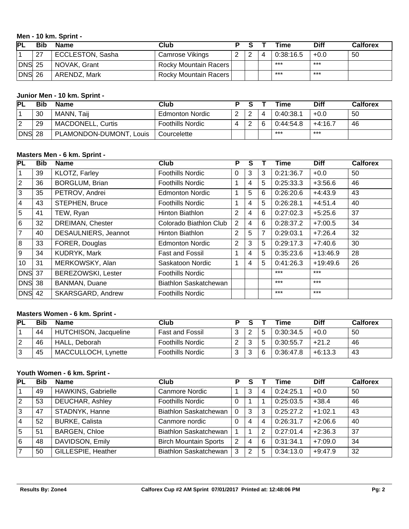#### **Men - 10 km. Sprint -**

| ГPL       | Bib | <b>Name</b>             | Club                   |   | Time      | <b>Diff</b> | <b>Calforex</b> |
|-----------|-----|-------------------------|------------------------|---|-----------|-------------|-----------------|
|           | 27  | <b>ECCLESTON, Sasha</b> | <b>Camrose Vikings</b> | ົ | 0:38:16.5 | $+0.0$      | 50              |
| $ DNS$ 25 |     | NOVAK, Grant            | Rocky Mountain Racers  |   | ***       | ***         |                 |
| $ DNS$ 26 |     | ARENDZ, Mark            | Rocky Mountain Racers  |   | ***       | $***$       |                 |

## **Junior Men - 10 km. Sprint -**

| <b>PL</b>      | <b>Bib</b> | <b>Name</b>              | Club                    |          |   | Time      | Diff      | Calforex |
|----------------|------------|--------------------------|-------------------------|----------|---|-----------|-----------|----------|
|                | 30         | Taii<br>MANN.            | <b>Edmonton Nordic</b>  | -2       | 4 | 0:40:38.1 | $+0.0$    | 50       |
| $\overline{2}$ | 29         | <b>MACDONELL, Curtis</b> | <b>Foothills Nordic</b> | - 2<br>ے | 6 | 0:44:54.8 | $+4:16.7$ | 46       |
| DNS            | 28         | PLAMONDON-DUMONT, Louis  | Courcelette             |          |   | ***       | ***       |          |

#### **Masters Men - 6 km. Sprint -**

| PL              | <b>Bib</b> | <b>Name</b>               | Club                    | P              | S              |   | Time      | <b>Diff</b> | <b>Calforex</b> |
|-----------------|------------|---------------------------|-------------------------|----------------|----------------|---|-----------|-------------|-----------------|
|                 | 39         | KLOTZ, Farley             | <b>Foothills Nordic</b> | 0              | 3              | 3 | 0:21:36.7 | $+0.0$      | 50              |
| $\overline{2}$  | 36         | <b>BORGLUM, Brian</b>     | <b>Foothills Nordic</b> | 1              | $\overline{4}$ | 5 | 0:25:33.3 | $+3:56.6$   | 46              |
| 3               | 35         | PETROV, Andrei            | <b>Edmonton Nordic</b>  | 1              | 5              | 6 | 0:26:20.6 | $+4:43.9$   | 43              |
| $\overline{4}$  | 43         | STEPHEN, Bruce            | <b>Foothills Nordic</b> | 1              | $\overline{4}$ | 5 | 0:26:28.1 | $+4:51.4$   | 40              |
| 5               | 41         | TEW, Ryan                 | Hinton Biathlon         | 2              | $\overline{4}$ | 6 | 0:27:02.3 | $+5:25.6$   | 37              |
| 6               | 32         | DREIMAN, Chester          | Colorado Biathlon Club  | 2              | $\overline{4}$ | 6 | 0:28:37.2 | $+7:00.5$   | 34              |
| $\overline{7}$  | 40         | DESAULNIERS, Jeannot      | Hinton Biathlon         | $\overline{2}$ | 5              | 7 | 0:29:03.1 | $+7:26.4$   | 32              |
| 8               | 33         | FORER, Douglas            | <b>Edmonton Nordic</b>  | 2              | 3              | 5 | 0:29:17.3 | $+7:40.6$   | 30              |
| 9               | 34         | KUDRYK, Mark              | <b>Fast and Fossil</b>  | 1              | $\overline{4}$ | 5 | 0:35:23.6 | $+13:46.9$  | 28              |
| 10 <sup>1</sup> | 31         | MERKOWSKY, Alan           | Saskatoon Nordic        | 1              | $\overline{4}$ | 5 | 0:41:26.3 | $+19:49.6$  | 26              |
| <b>DNS</b> 37   |            | <b>BEREZOWSKI, Lester</b> | <b>Foothills Nordic</b> |                |                |   | $***$     | $***$       |                 |
| <b>DNS</b> 38   |            | BANMAN, Duane             | Biathlon Saskatchewan   |                |                |   | $***$     | $***$       |                 |
| $DNS$ 42        |            | SKARSGARD, Andrew         | <b>Foothills Nordic</b> |                |                |   | $***$     | $***$       |                 |

## **Masters Women - 6 km. Sprint -**

| PL | Bib | <b>Name</b>           | Club                    |   |        |   | Time      | Diff      | Calforex |
|----|-----|-----------------------|-------------------------|---|--------|---|-----------|-----------|----------|
|    | 44  | HUTCHISON, Jacqueline | <b>Fast and Fossil</b>  |   | ∠      |   | 0:30:34.5 | $+0.0$    | 50       |
| 2  | 46  | HALL, Deborah         | <b>Foothills Nordic</b> |   | ີ<br>ັ |   | 0:30:55.7 | $+21.2$   | 46       |
| 3  | 45  | MACCULLOCH, Lynette   | <b>Foothills Nordic</b> | ⌒ | 3      | 6 | 0:36:47.8 | $+6:13.3$ | 43       |

## **Youth Women - 6 km. Sprint -**

| <b>PL</b> | <b>Bib</b> | <b>Name</b>           | Club                         | Р        |   |   | Time      | <b>Diff</b> | <b>Calforex</b> |
|-----------|------------|-----------------------|------------------------------|----------|---|---|-----------|-------------|-----------------|
|           | 49         | HAWKINS, Gabrielle    | <b>Canmore Nordic</b>        |          | 3 | 4 | 0:24:25.1 | $+0.0$      | 50              |
| 2         | 53         | DEUCHAR, Ashley       | <b>Foothills Nordic</b>      | $\Omega$ |   |   | 0:25:03.5 | $+38.4$     | 46              |
| 3         | 47         | STADNYK, Hanne        | <b>Biathlon Saskatchewan</b> | $\Omega$ | 3 | 3 | 0:25:27.2 | $+1:02.1$   | 43              |
| 4         | 52         | <b>BURKE, Calista</b> | Canmore nordic               | $\Omega$ | 4 | 4 | 0:26:31.7 | $+2:06.6$   | 40              |
| 5         | 51         | <b>BARGEN, Chloe</b>  | <b>Biathlon Saskatchewan</b> |          |   | 2 | 0:27:01.4 | $+2:36.3$   | 37              |
| 6         | 48         | DAVIDSON, Emily       | <b>Birch Mountain Sports</b> | 2        | 4 | 6 | 0:31:34.1 | $+7:09.0$   | 34              |
|           | 50         | GILLESPIE, Heather    | Biathlon Saskatchewan        | 3        | 2 | 5 | 0:34:13.0 | $+9:47.9$   | 32              |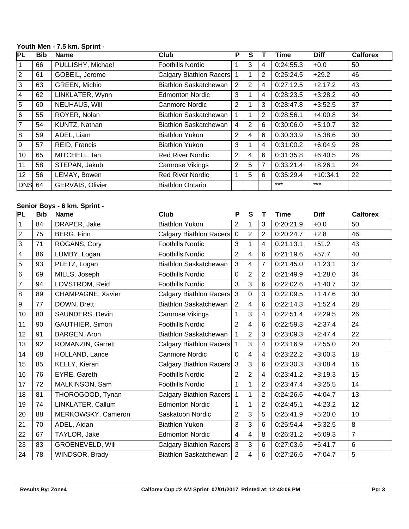## **Youth Men - 7.5 km. Sprint -**

| PL              | <b>Bib</b> | <b>Name</b>       | Club                    | Р | S              |                | Time      | <b>Diff</b> | <b>Calforex</b> |
|-----------------|------------|-------------------|-------------------------|---|----------------|----------------|-----------|-------------|-----------------|
|                 | 66         | PULLISHY, Michael | <b>Foothills Nordic</b> |   | 3              | 4              | 0:24:55.3 | $+0.0$      | 50              |
| $\overline{2}$  | 61         | GOBEIL, Jerome    | Calgary Biathlon Racers |   | 1              | $\overline{2}$ | 0:25:24.5 | $+29.2$     | 46              |
| 3               | 63         | GREEN, Michio     | Biathlon Saskatchewan   | 2 | $\overline{2}$ | $\overline{4}$ | 0:27:12.5 | $+2:17.2$   | 43              |
| 4               | 62         | LINKLATER, Wynn   | <b>Edmonton Nordic</b>  | 3 |                | 4              | 0:28:23.5 | $+3:28.2$   | 40              |
| 5               | 60         | NEUHAUS, Will     | Canmore Nordic          | 2 |                | 3              | 0:28:47.8 | $+3:52.5$   | 37              |
| 6               | 55         | ROYER, Nolan      | Biathlon Saskatchewan   |   | $\overline{1}$ | $\overline{2}$ | 0:28:56.1 | $+4:00.8$   | 34              |
| $\overline{7}$  | 54         | KUNTZ, Nathan     | Biathlon Saskatchewan   | 4 | 2              | 6              | 0:30:06.0 | $+5:10.7$   | 32              |
| 8               | 59         | ADEL, Liam        | <b>Biathlon Yukon</b>   | 2 | $\overline{4}$ | 6              | 0:30:33.9 | $+5:38.6$   | 30              |
| 9               | 57         | REID, Francis     | <b>Biathlon Yukon</b>   | 3 |                | 4              | 0:31:00.2 | $+6:04.9$   | 28              |
| 10              | 65         | MITCHELL, Ian     | <b>Red River Nordic</b> | 2 | $\overline{4}$ | 6              | 0:31:35.8 | $+6:40.5$   | 26              |
| 11              | 58         | STEPAN, Jakub     | Camrose Vikings         | 2 | 5              | 7              | 0:33:21.4 | $+8:26.1$   | 24              |
| 12 <sup>2</sup> | 56         | LEMAY, Bowen      | <b>Red River Nordic</b> |   | 5              | 6              | 0:35:29.4 | $+10:34.1$  | 22              |
| <b>DNS</b> 64   |            | GERVAIS, Olivier  | <b>Biathlon Ontario</b> |   |                |                | $***$     | $***$       |                 |

## **Senior Boys - 6 km. Sprint -**

| PL             | <b>Bib</b> | <b>Name</b>             | <b>Club</b>             | P              | $\overline{\mathsf{s}}$ | т              | <b>Time</b> | <b>Diff</b> | <b>Calforex</b> |
|----------------|------------|-------------------------|-------------------------|----------------|-------------------------|----------------|-------------|-------------|-----------------|
| $\mathbf{1}$   | 84         | DRAPER, Jake            | <b>Biathlon Yukon</b>   | $\overline{2}$ | 1                       | 3              | 0:20:21.9   | $+0.0$      | 50              |
| $\overline{2}$ | 75         | BERG, Finn              | Calgary Biathlon Racers | $\mathbf 0$    | $\overline{2}$          | $\overline{2}$ | 0:20:24.7   | $+2.8$      | 46              |
| $\overline{3}$ | 71         | ROGANS, Cory            | <b>Foothills Nordic</b> | 3              | $\mathbf{1}$            | $\overline{4}$ | 0:21:13.1   | $+51.2$     | 43              |
| 4              | 86         | LUMBY, Logan            | <b>Foothills Nordic</b> | $\overline{2}$ | $\overline{4}$          | 6              | 0:21:19.6   | $+57.7$     | 40              |
| $\overline{5}$ | 93         | PLETZ, Logan            | Biathlon Saskatchewan   | 3              | $\overline{4}$          | $\overline{7}$ | 0:21:45.0   | $+1:23.1$   | 37              |
| 6              | 69         | MILLS, Joseph           | <b>Foothills Nordic</b> | 0              | $\overline{2}$          | $\overline{2}$ | 0:21:49.9   | $+1:28.0$   | 34              |
| $\overline{7}$ | 94         | LOVSTROM, Reid          | <b>Foothills Nordic</b> | 3              | 3                       | 6              | 0:22:02.6   | $+1:40.7$   | 32              |
| 8              | 89         | CHAMPAGNE, Xavier       | Calgary Biathlon Racers | $\mathbf{3}$   | $\mathbf 0$             | 3              | 0:22:09.5   | $+1:47.6$   | 30              |
| 9              | 77         | DOWN, Brett             | Biathlon Saskatchewan   | $\overline{2}$ | $\overline{4}$          | 6              | 0:22:14.3   | $+1:52.4$   | 28              |
| 10             | 80         | SAUNDERS, Devin         | Camrose Vikings         | 1              | 3                       | $\overline{4}$ | 0:22:51.4   | $+2:29.5$   | 26              |
| 11             | 90         | <b>GAUTHIER, Simon</b>  | <b>Foothills Nordic</b> | $\overline{2}$ | $\overline{4}$          | 6              | 0:22:59.3   | $+2:37.4$   | 24              |
| 12             | 91         | BARGEN, Aron            | Biathlon Saskatchewan   | 1              | $\overline{2}$          | 3              | 0:23:09.3   | $+2:47.4$   | 22              |
| 13             | 92         | ROMANZIN, Garrett       | Calgary Biathlon Racers | 1              | 3                       | $\overline{4}$ | 0:23:16.9   | $+2:55.0$   | 20              |
| 14             | 68         | HOLLAND, Lance          | <b>Canmore Nordic</b>   | 0              | $\overline{4}$          | $\overline{4}$ | 0:23:22.2   | $+3:00.3$   | 18              |
| 15             | 85         | KELLY, Kieran           | Calgary Biathlon Racers | 3              | 3                       | 6              | 0:23:30.3   | $+3:08.4$   | 16              |
| 16             | 76         | EYRE, Gareth            | <b>Foothills Nordic</b> | $\overline{2}$ | $\overline{2}$          | $\overline{4}$ | 0:23:41.2   | $+3:19.3$   | 15              |
| 17             | 72         | MALKINSON, Sam          | <b>Foothills Nordic</b> | 1              | $\mathbf{1}$            | $\overline{2}$ | 0:23:47.4   | $+3:25.5$   | 14              |
| 18             | 81         | THOROGOOD, Tynan        | Calgary Biathlon Racers | 1              | $\mathbf{1}$            | $\overline{2}$ | 0:24:26.6   | $+4:04.7$   | 13              |
| 19             | 74         | LINKLATER, Callum       | <b>Edmonton Nordic</b>  | 1              | $\mathbf{1}$            | $\overline{2}$ | 0:24:45.1   | $+4:23.2$   | 12              |
| 20             | 88         | MERKOWSKY, Cameron      | Saskatoon Nordic        | $\overline{c}$ | $\overline{3}$          | 5              | 0:25:41.9   | $+5:20.0$   | 10              |
| 21             | 70         | ADEL, Aidan             | <b>Biathlon Yukon</b>   | 3              | $\overline{3}$          | 6              | 0:25:54.4   | $+5:32.5$   | 8               |
| 22             | 67         | TAYLOR, Jake            | <b>Edmonton Nordic</b>  | $\overline{4}$ | $\overline{\mathbf{4}}$ | 8              | 0:26:31.2   | $+6:09.3$   | $\overline{7}$  |
| 23             | 83         | <b>GROENEVELD, Will</b> | Calgary Biathlon Racers | 3              | 3                       | 6              | 0:27:03.6   | $+6:41.7$   | 6               |
| 24             | 78         | WINDSOR, Brady          | Biathlon Saskatchewan   | $\overline{2}$ | $\overline{\mathbf{4}}$ | 6              | 0:27:26.6   | $+7:04.7$   | 5               |